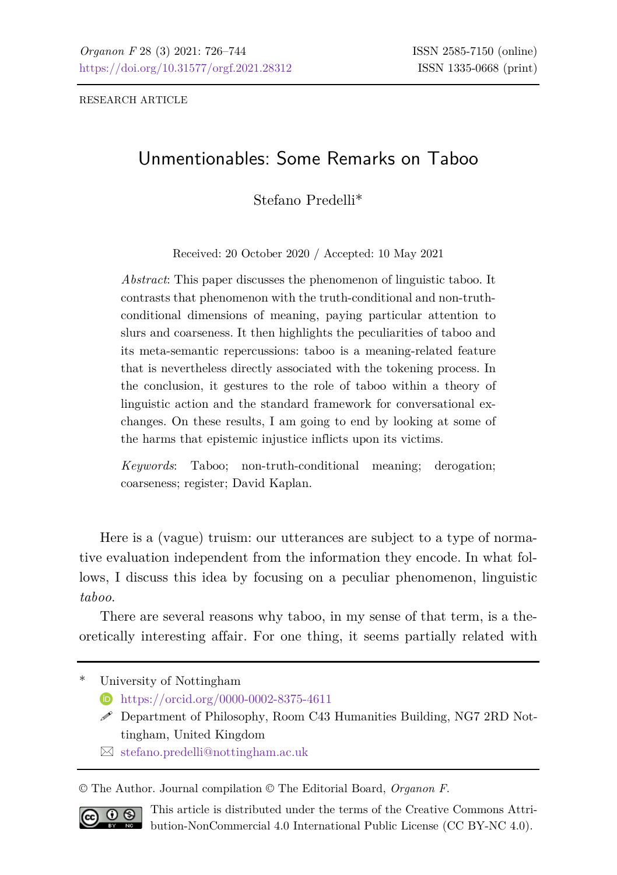RESEARCH ARTICLE

# Unmentionables: Some Remarks on Taboo

Stefano Predelli\*

Received: 20 October 2020 / Accepted: 10 May 2021

*Abstract*: This paper discusses the phenomenon of linguistic taboo. It contrasts that phenomenon with the truth-conditional and non-truthconditional dimensions of meaning, paying particular attention to slurs and coarseness. It then highlights the peculiarities of taboo and its meta-semantic repercussions: taboo is a meaning-related feature that is nevertheless directly associated with the tokening process. In the conclusion, it gestures to the role of taboo within a theory of linguistic action and the standard framework for conversational exchanges. On these results, I am going to end by looking at some of the harms that epistemic injustice inflicts upon its victims.

*Keywords*: Taboo; non-truth-conditional meaning; derogation; coarseness; register; David Kaplan.

Here is a (vague) truism: our utterances are subject to a type of normative evaluation independent from the information they encode. In what follows, I discuss this idea by focusing on a peculiar phenomenon, linguistic *taboo*.

There are several reasons why taboo, in my sense of that term, is a theoretically interesting affair. For one thing, it seems partially related with

University of Nottingham

<https://orcid.org/0000-0002-8375-4611>

- $\mathscr S$  Department of Philosophy, Room C43 Humanities Building, NG7 2RD Nottingham, United Kingdom
- $\boxtimes$  [stefano.predelli@nottingham.ac.uk](mailto:stefano.predelli@nottingham.ac.uk)

© The Author. Journal compilation © The Editorial Board, *Organon F*.



This article is distributed under the terms of the Creative Commons Attribution-NonCommercial 4.0 International Public License (CC BY-NC 4.0).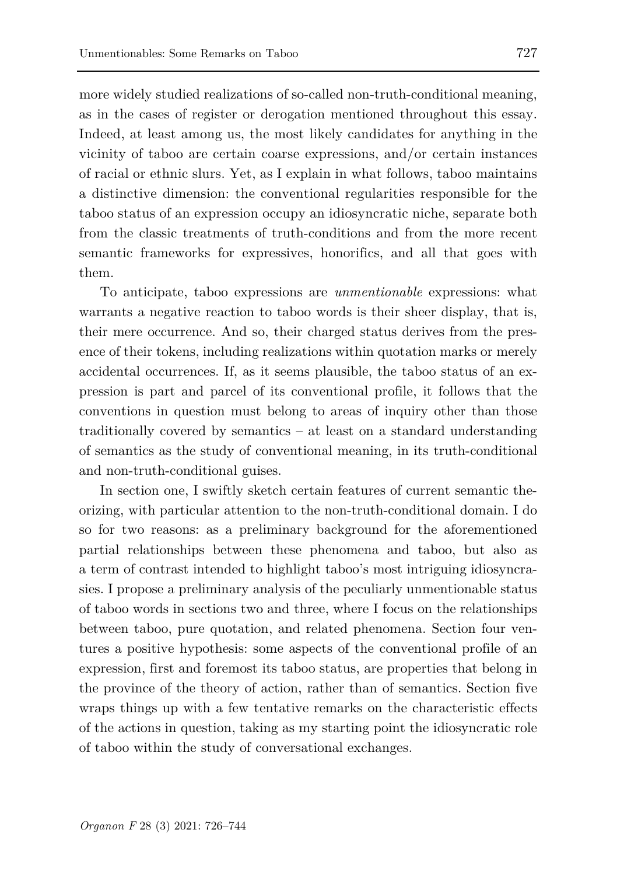more widely studied realizations of so-called non-truth-conditional meaning, as in the cases of register or derogation mentioned throughout this essay. Indeed, at least among us, the most likely candidates for anything in the vicinity of taboo are certain coarse expressions, and/or certain instances of racial or ethnic slurs. Yet, as I explain in what follows, taboo maintains a distinctive dimension: the conventional regularities responsible for the taboo status of an expression occupy an idiosyncratic niche, separate both from the classic treatments of truth-conditions and from the more recent semantic frameworks for expressives, honorifics, and all that goes with them.

To anticipate, taboo expressions are *unmentionable* expressions: what warrants a negative reaction to taboo words is their sheer display, that is, their mere occurrence. And so, their charged status derives from the presence of their tokens, including realizations within quotation marks or merely accidental occurrences. If, as it seems plausible, the taboo status of an expression is part and parcel of its conventional profile, it follows that the conventions in question must belong to areas of inquiry other than those traditionally covered by semantics – at least on a standard understanding of semantics as the study of conventional meaning, in its truth-conditional and non-truth-conditional guises.

In section one, I swiftly sketch certain features of current semantic theorizing, with particular attention to the non-truth-conditional domain. I do so for two reasons: as a preliminary background for the aforementioned partial relationships between these phenomena and taboo, but also as a term of contrast intended to highlight taboo's most intriguing idiosyncrasies. I propose a preliminary analysis of the peculiarly unmentionable status of taboo words in sections two and three, where I focus on the relationships between taboo, pure quotation, and related phenomena. Section four ventures a positive hypothesis: some aspects of the conventional profile of an expression, first and foremost its taboo status, are properties that belong in the province of the theory of action, rather than of semantics. Section five wraps things up with a few tentative remarks on the characteristic effects of the actions in question, taking as my starting point the idiosyncratic role of taboo within the study of conversational exchanges.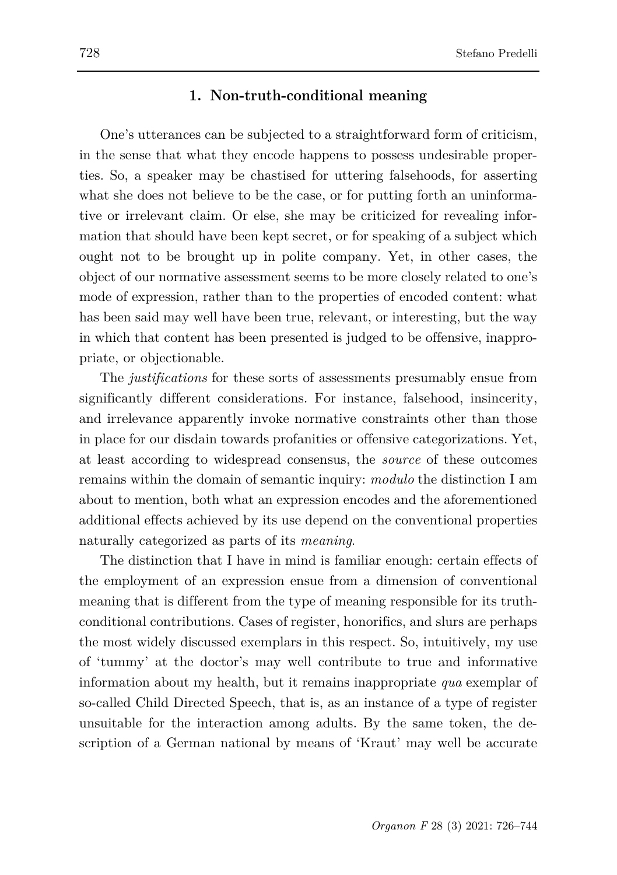#### **1. Non-truth-conditional meaning**

One's utterances can be subjected to a straightforward form of criticism, in the sense that what they encode happens to possess undesirable properties. So, a speaker may be chastised for uttering falsehoods, for asserting what she does not believe to be the case, or for putting forth an uninformative or irrelevant claim. Or else, she may be criticized for revealing information that should have been kept secret, or for speaking of a subject which ought not to be brought up in polite company. Yet, in other cases, the object of our normative assessment seems to be more closely related to one's mode of expression, rather than to the properties of encoded content: what has been said may well have been true, relevant, or interesting, but the way in which that content has been presented is judged to be offensive, inappropriate, or objectionable.

The *justifications* for these sorts of assessments presumably ensue from significantly different considerations. For instance, falsehood, insincerity, and irrelevance apparently invoke normative constraints other than those in place for our disdain towards profanities or offensive categorizations. Yet, at least according to widespread consensus, the *source* of these outcomes remains within the domain of semantic inquiry: *modulo* the distinction I am about to mention, both what an expression encodes and the aforementioned additional effects achieved by its use depend on the conventional properties naturally categorized as parts of its *meaning*.

The distinction that I have in mind is familiar enough: certain effects of the employment of an expression ensue from a dimension of conventional meaning that is different from the type of meaning responsible for its truthconditional contributions. Cases of register, honorifics, and slurs are perhaps the most widely discussed exemplars in this respect. So, intuitively, my use of 'tummy' at the doctor's may well contribute to true and informative information about my health, but it remains inappropriate *qua* exemplar of so-called Child Directed Speech, that is, as an instance of a type of register unsuitable for the interaction among adults. By the same token, the description of a German national by means of 'Kraut' may well be accurate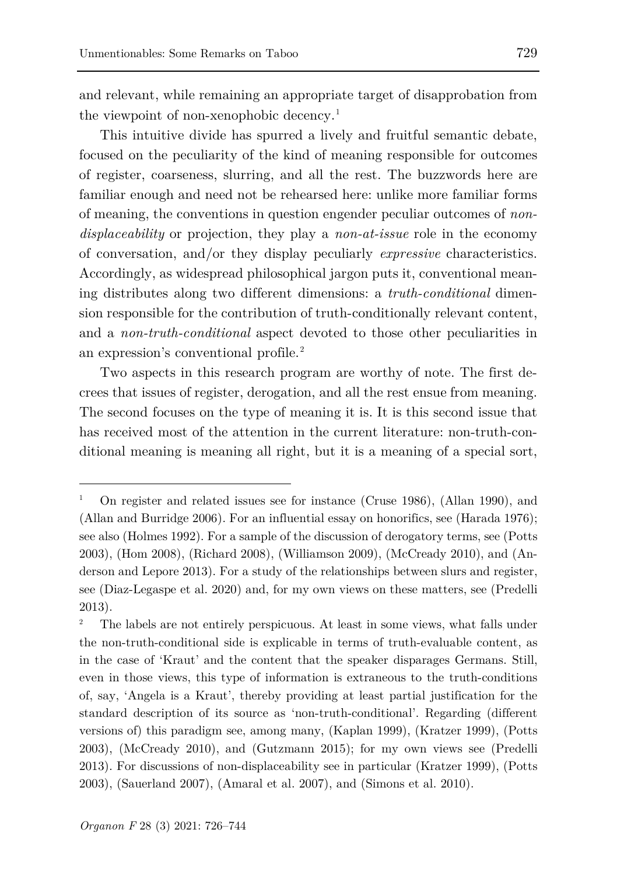and relevant, while remaining an appropriate target of disapprobation from the viewpoint of non-xenophobic decency.<sup>[1](#page-3-0)</sup>

This intuitive divide has spurred a lively and fruitful semantic debate, focused on the peculiarity of the kind of meaning responsible for outcomes of register, coarseness, slurring, and all the rest. The buzzwords here are familiar enough and need not be rehearsed here: unlike more familiar forms of meaning, the conventions in question engender peculiar outcomes of *nondisplaceability* or projection, they play a *non-at-issue* role in the economy of conversation, and/or they display peculiarly *expressive* characteristics. Accordingly, as widespread philosophical jargon puts it, conventional meaning distributes along two different dimensions: a *truth-conditional* dimension responsible for the contribution of truth-conditionally relevant content, and a *non-truth-conditional* aspect devoted to those other peculiarities in an expression's conventional profile.[2](#page-3-1)

Two aspects in this research program are worthy of note. The first decrees that issues of register, derogation, and all the rest ensue from meaning. The second focuses on the type of meaning it is. It is this second issue that has received most of the attention in the current literature: non-truth-conditional meaning is meaning all right, but it is a meaning of a special sort,

ł

<span id="page-3-0"></span><sup>1</sup> On register and related issues see for instance (Cruse 1986), (Allan 1990), and (Allan and Burridge 2006). For an influential essay on honorifics, see (Harada 1976); see also (Holmes 1992). For a sample of the discussion of derogatory terms, see (Potts 2003), (Hom 2008), (Richard 2008), (Williamson 2009), (McCready 2010), and (Anderson and Lepore 2013). For a study of the relationships between slurs and register, see (Diaz-Legaspe et al. 2020) and, for my own views on these matters, see (Predelli 2013).

<span id="page-3-1"></span><sup>2</sup> The labels are not entirely perspicuous. At least in some views, what falls under the non-truth-conditional side is explicable in terms of truth-evaluable content, as in the case of 'Kraut' and the content that the speaker disparages Germans. Still, even in those views, this type of information is extraneous to the truth-conditions of, say, 'Angela is a Kraut', thereby providing at least partial justification for the standard description of its source as 'non-truth-conditional'. Regarding (different versions of) this paradigm see, among many, (Kaplan 1999), (Kratzer 1999), (Potts 2003), (McCready 2010), and (Gutzmann 2015); for my own views see (Predelli 2013). For discussions of non-displaceability see in particular (Kratzer 1999), (Potts 2003), (Sauerland 2007), (Amaral et al. 2007), and (Simons et al. 2010).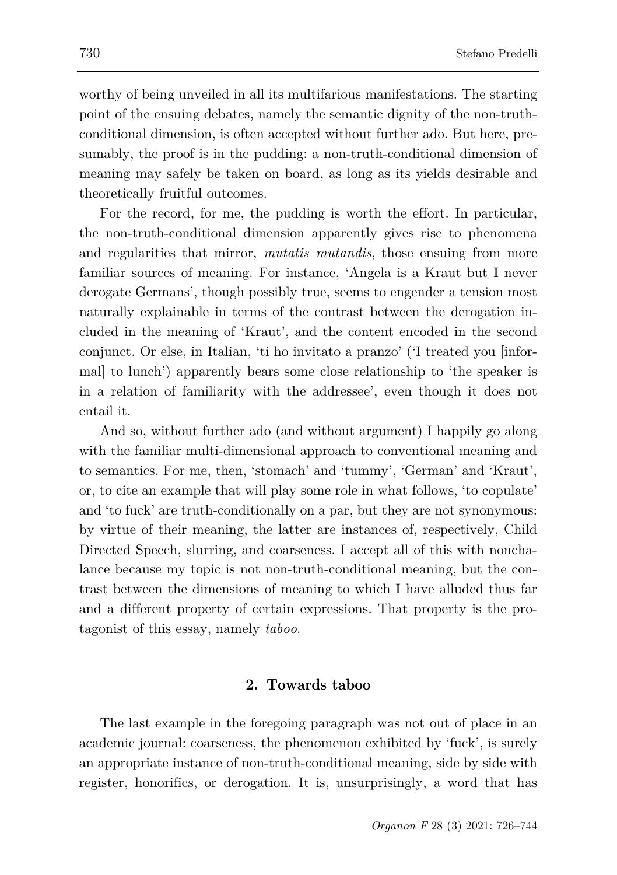worthy of being unveiled in all its multifarious manifestations. The starting point of the ensuing debates, namely the semantic dignity of the non-truthconditional dimension, is often accepted without further ado. But here, presumably, the proof is in the pudding: a non-truth-conditional dimension of meaning may safely be taken on board, as long as its yields desirable and theoretically fruitful outcomes.

For the record, for me, the pudding is worth the effort. In particular, the non-truth-conditional dimension apparently gives rise to phenomena and regularities that mirror, *mutatis mutandis*, those ensuing from more familiar sources of meaning. For instance, 'Angela is a Kraut but I never derogate Germans', though possibly true, seems to engender a tension most naturally explainable in terms of the contrast between the derogation included in the meaning of 'Kraut', and the content encoded in the second conjunct. Or else, in Italian, 'ti ho invitato a pranzo' ('I treated you [informal] to lunch') apparently bears some close relationship to 'the speaker is in a relation of familiarity with the addressee', even though it does not entail it.

And so, without further ado (and without argument) I happily go along with the familiar multi-dimensional approach to conventional meaning and to semantics. For me, then, 'stomach' and 'tummy', 'German' and 'Kraut', or, to cite an example that will play some role in what follows, 'to copulate' and 'to fuck' are truth-conditionally on a par, but they are not synonymous: by virtue of their meaning, the latter are instances of, respectively, Child Directed Speech, slurring, and coarseness. I accept all of this with nonchalance because my topic is not non-truth-conditional meaning, but the contrast between the dimensions of meaning to which I have alluded thus far and a different property of certain expressions. That property is the protagonist of this essay, namely *taboo*.

### **2. Towards taboo**

The last example in the foregoing paragraph was not out of place in an academic journal: coarseness, the phenomenon exhibited by 'fuck', is surely an appropriate instance of non-truth-conditional meaning, side by side with register, honorifics, or derogation. It is, unsurprisingly, a word that has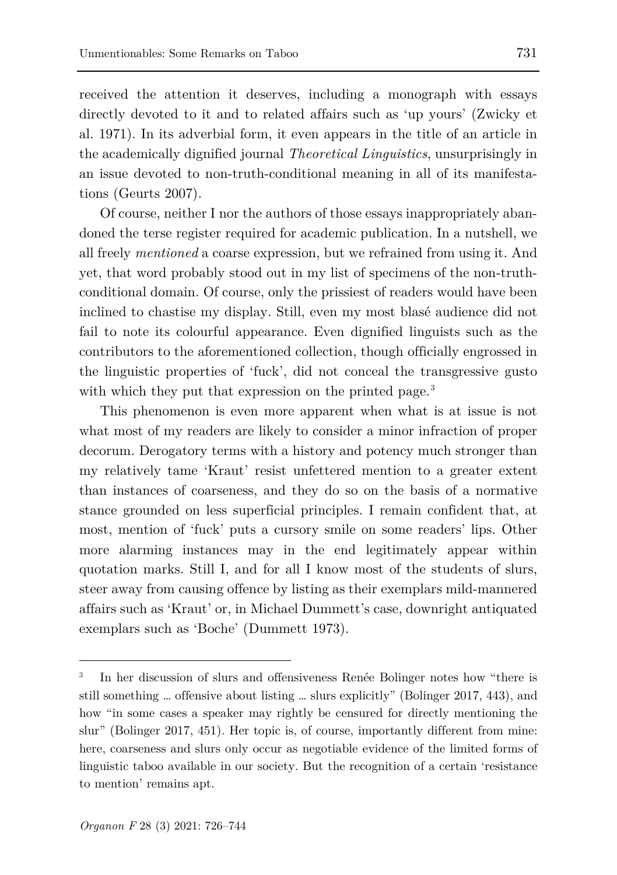received the attention it deserves, including a monograph with essays directly devoted to it and to related affairs such as 'up yours' (Zwicky et al. 1971). In its adverbial form, it even appears in the title of an article in the academically dignified journal *Theoretical Linguistics*, unsurprisingly in an issue devoted to non-truth-conditional meaning in all of its manifestations (Geurts 2007).

Of course, neither I nor the authors of those essays inappropriately abandoned the terse register required for academic publication. In a nutshell, we all freely *mentioned* a coarse expression, but we refrained from using it. And yet, that word probably stood out in my list of specimens of the non-truthconditional domain. Of course, only the prissiest of readers would have been inclined to chastise my display. Still, even my most blasé audience did not fail to note its colourful appearance. Even dignified linguists such as the contributors to the aforementioned collection, though officially engrossed in the linguistic properties of 'fuck', did not conceal the transgressive gusto with which they put that expression on the printed page.<sup>[3](#page-5-0)</sup>

This phenomenon is even more apparent when what is at issue is not what most of my readers are likely to consider a minor infraction of proper decorum. Derogatory terms with a history and potency much stronger than my relatively tame 'Kraut' resist unfettered mention to a greater extent than instances of coarseness, and they do so on the basis of a normative stance grounded on less superficial principles. I remain confident that, at most, mention of 'fuck' puts a cursory smile on some readers' lips. Other more alarming instances may in the end legitimately appear within quotation marks. Still I, and for all I know most of the students of slurs, steer away from causing offence by listing as their exemplars mild-mannered affairs such as 'Kraut' or, in Michael Dummett's case, downright antiquated exemplars such as 'Boche' (Dummett 1973).

<span id="page-5-0"></span><sup>3</sup> In her discussion of slurs and offensiveness Renée Bolinger notes how "there is still something … offensive about listing … slurs explicitly" (Bolinger 2017, 443), and how "in some cases a speaker may rightly be censured for directly mentioning the slur" (Bolinger 2017, 451). Her topic is, of course, importantly different from mine: here, coarseness and slurs only occur as negotiable evidence of the limited forms of linguistic taboo available in our society. But the recognition of a certain 'resistance to mention' remains apt.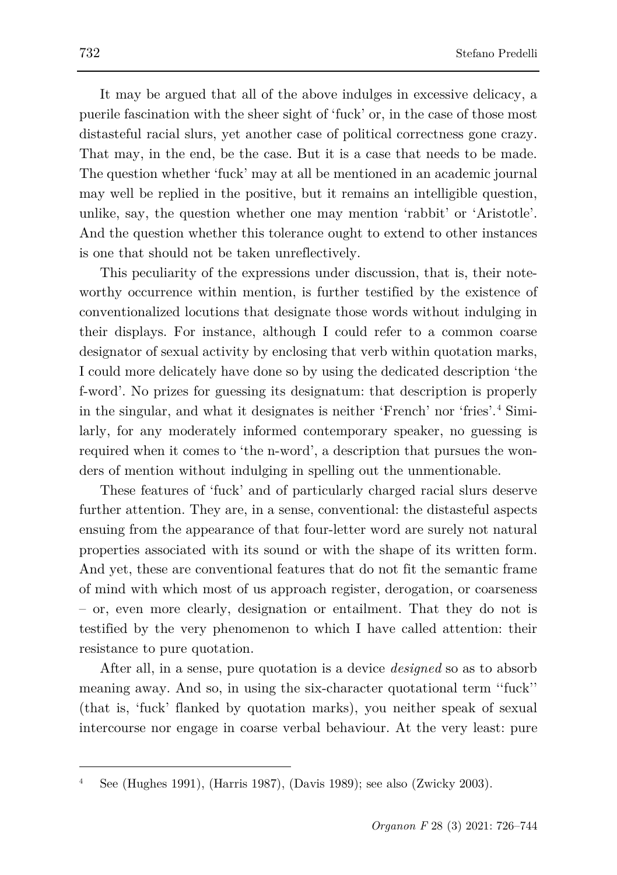It may be argued that all of the above indulges in excessive delicacy, a puerile fascination with the sheer sight of 'fuck' or, in the case of those most distasteful racial slurs, yet another case of political correctness gone crazy. That may, in the end, be the case. But it is a case that needs to be made. The question whether 'fuck' may at all be mentioned in an academic journal may well be replied in the positive, but it remains an intelligible question, unlike, say, the question whether one may mention 'rabbit' or 'Aristotle'. And the question whether this tolerance ought to extend to other instances is one that should not be taken unreflectively.

This peculiarity of the expressions under discussion, that is, their noteworthy occurrence within mention, is further testified by the existence of conventionalized locutions that designate those words without indulging in their displays. For instance, although I could refer to a common coarse designator of sexual activity by enclosing that verb within quotation marks, I could more delicately have done so by using the dedicated description 'the f-word'. No prizes for guessing its designatum: that description is properly in the singular, and what it designates is neither 'French' nor 'fries'.[4](#page-6-0) Similarly, for any moderately informed contemporary speaker, no guessing is required when it comes to 'the n-word', a description that pursues the wonders of mention without indulging in spelling out the unmentionable.

These features of 'fuck' and of particularly charged racial slurs deserve further attention. They are, in a sense, conventional: the distasteful aspects ensuing from the appearance of that four-letter word are surely not natural properties associated with its sound or with the shape of its written form. And yet, these are conventional features that do not fit the semantic frame of mind with which most of us approach register, derogation, or coarseness – or, even more clearly, designation or entailment. That they do not is testified by the very phenomenon to which I have called attention: their resistance to pure quotation.

After all, in a sense, pure quotation is a device *designed* so as to absorb meaning away. And so, in using the six-character quotational term ''fuck'' (that is, 'fuck' flanked by quotation marks), you neither speak of sexual intercourse nor engage in coarse verbal behaviour. At the very least: pure

<span id="page-6-0"></span><sup>4</sup> See (Hughes 1991), (Harris 1987), (Davis 1989); see also (Zwicky 2003).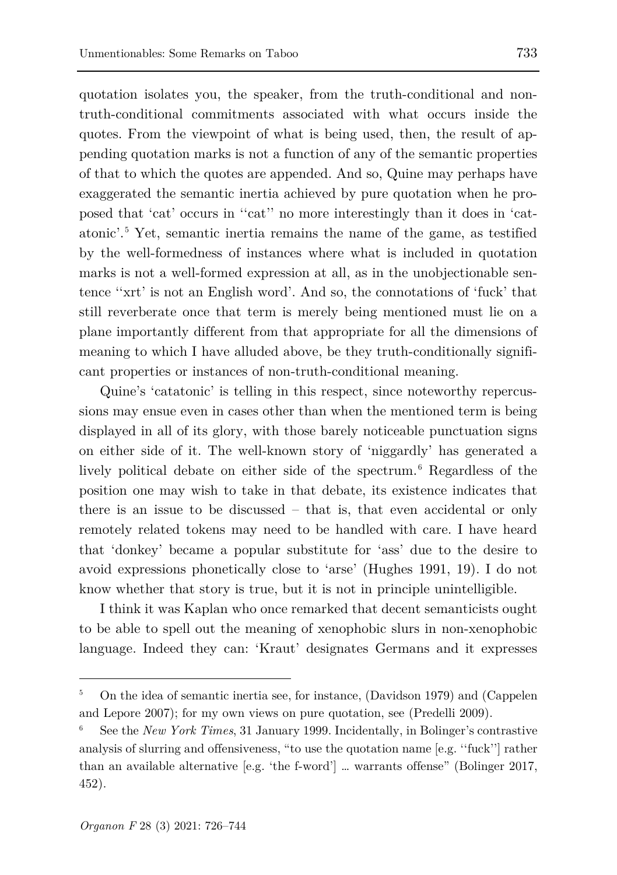quotation isolates you, the speaker, from the truth-conditional and nontruth-conditional commitments associated with what occurs inside the quotes. From the viewpoint of what is being used, then, the result of appending quotation marks is not a function of any of the semantic properties of that to which the quotes are appended. And so, Quine may perhaps have exaggerated the semantic inertia achieved by pure quotation when he proposed that 'cat' occurs in ''cat'' no more interestingly than it does in 'catatonic'.[5](#page-7-0) Yet, semantic inertia remains the name of the game, as testified by the well-formedness of instances where what is included in quotation marks is not a well-formed expression at all, as in the unobjectionable sentence ''xrt' is not an English word'. And so, the connotations of 'fuck' that still reverberate once that term is merely being mentioned must lie on a plane importantly different from that appropriate for all the dimensions of meaning to which I have alluded above, be they truth-conditionally significant properties or instances of non-truth-conditional meaning.

Quine's 'catatonic' is telling in this respect, since noteworthy repercussions may ensue even in cases other than when the mentioned term is being displayed in all of its glory, with those barely noticeable punctuation signs on either side of it. The well-known story of 'niggardly' has generated a lively political debate on either side of the spectrum.<sup>[6](#page-7-1)</sup> Regardless of the position one may wish to take in that debate, its existence indicates that there is an issue to be discussed – that is, that even accidental or only remotely related tokens may need to be handled with care. I have heard that 'donkey' became a popular substitute for 'ass' due to the desire to avoid expressions phonetically close to 'arse' (Hughes 1991, 19). I do not know whether that story is true, but it is not in principle unintelligible.

I think it was Kaplan who once remarked that decent semanticists ought to be able to spell out the meaning of xenophobic slurs in non-xenophobic language. Indeed they can: 'Kraut' designates Germans and it expresses

<span id="page-7-0"></span><sup>5</sup> On the idea of semantic inertia see, for instance, (Davidson 1979) and (Cappelen and Lepore 2007); for my own views on pure quotation, see (Predelli 2009).

<span id="page-7-1"></span><sup>6</sup> See the *New York Times*, 31 January 1999. Incidentally, in Bolinger's contrastive analysis of slurring and offensiveness, "to use the quotation name [e.g. ''fuck''] rather than an available alternative [e.g. 'the f-word'] … warrants offense" (Bolinger 2017, 452).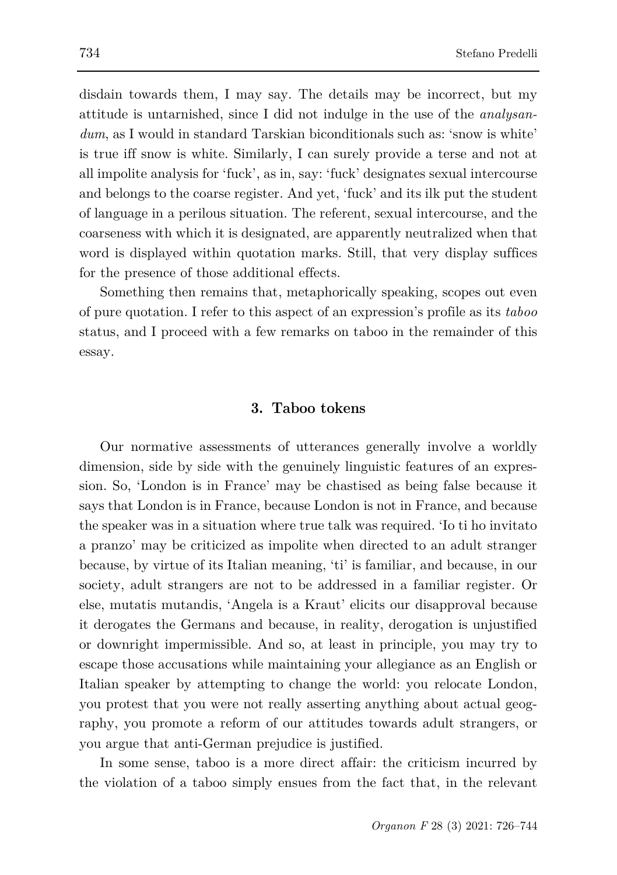disdain towards them, I may say. The details may be incorrect, but my attitude is untarnished, since I did not indulge in the use of the *analysan*dum, as I would in standard Tarskian biconditionals such as: 'snow is white' is true iff snow is white. Similarly, I can surely provide a terse and not at all impolite analysis for 'fuck', as in, say: 'fuck' designates sexual intercourse and belongs to the coarse register. And yet, 'fuck' and its ilk put the student of language in a perilous situation. The referent, sexual intercourse, and the coarseness with which it is designated, are apparently neutralized when that word is displayed within quotation marks. Still, that very display suffices for the presence of those additional effects.

Something then remains that, metaphorically speaking, scopes out even of pure quotation. I refer to this aspect of an expression's profile as its *taboo* status, and I proceed with a few remarks on taboo in the remainder of this essay.

## **3. Taboo tokens**

Our normative assessments of utterances generally involve a worldly dimension, side by side with the genuinely linguistic features of an expression. So, 'London is in France' may be chastised as being false because it says that London is in France, because London is not in France, and because the speaker was in a situation where true talk was required. 'Io ti ho invitato a pranzo' may be criticized as impolite when directed to an adult stranger because, by virtue of its Italian meaning, 'ti' is familiar, and because, in our society, adult strangers are not to be addressed in a familiar register. Or else, mutatis mutandis, 'Angela is a Kraut' elicits our disapproval because it derogates the Germans and because, in reality, derogation is unjustified or downright impermissible. And so, at least in principle, you may try to escape those accusations while maintaining your allegiance as an English or Italian speaker by attempting to change the world: you relocate London, you protest that you were not really asserting anything about actual geography, you promote a reform of our attitudes towards adult strangers, or you argue that anti-German prejudice is justified.

In some sense, taboo is a more direct affair: the criticism incurred by the violation of a taboo simply ensues from the fact that, in the relevant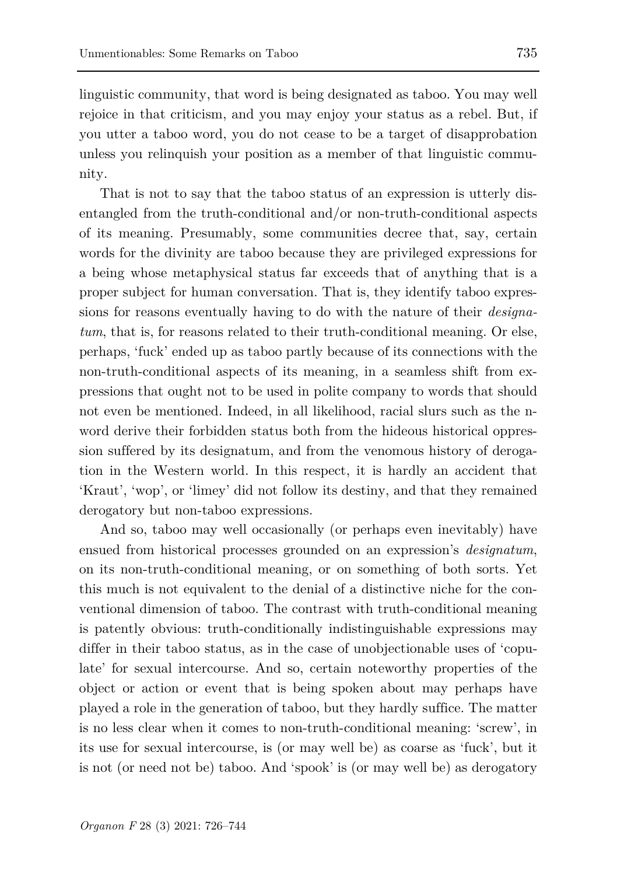linguistic community, that word is being designated as taboo. You may well rejoice in that criticism, and you may enjoy your status as a rebel. But, if you utter a taboo word, you do not cease to be a target of disapprobation unless you relinquish your position as a member of that linguistic community.

That is not to say that the taboo status of an expression is utterly disentangled from the truth-conditional and/or non-truth-conditional aspects of its meaning. Presumably, some communities decree that, say, certain words for the divinity are taboo because they are privileged expressions for a being whose metaphysical status far exceeds that of anything that is a proper subject for human conversation. That is, they identify taboo expressions for reasons eventually having to do with the nature of their *designatum*, that is, for reasons related to their truth-conditional meaning. Or else, perhaps, 'fuck' ended up as taboo partly because of its connections with the non-truth-conditional aspects of its meaning, in a seamless shift from expressions that ought not to be used in polite company to words that should not even be mentioned. Indeed, in all likelihood, racial slurs such as the nword derive their forbidden status both from the hideous historical oppression suffered by its designatum, and from the venomous history of derogation in the Western world. In this respect, it is hardly an accident that 'Kraut', 'wop', or 'limey' did not follow its destiny, and that they remained derogatory but non-taboo expressions.

And so, taboo may well occasionally (or perhaps even inevitably) have ensued from historical processes grounded on an expression's *designatum*, on its non-truth-conditional meaning, or on something of both sorts. Yet this much is not equivalent to the denial of a distinctive niche for the conventional dimension of taboo. The contrast with truth-conditional meaning is patently obvious: truth-conditionally indistinguishable expressions may differ in their taboo status, as in the case of unobjectionable uses of 'copulate' for sexual intercourse. And so, certain noteworthy properties of the object or action or event that is being spoken about may perhaps have played a role in the generation of taboo, but they hardly suffice. The matter is no less clear when it comes to non-truth-conditional meaning: 'screw', in its use for sexual intercourse, is (or may well be) as coarse as 'fuck', but it is not (or need not be) taboo. And 'spook' is (or may well be) as derogatory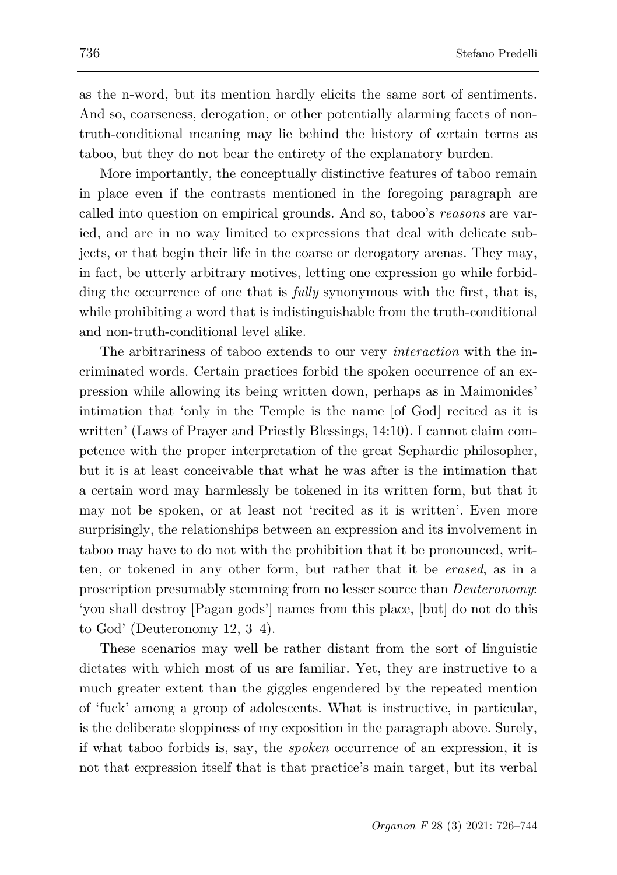as the n-word, but its mention hardly elicits the same sort of sentiments. And so, coarseness, derogation, or other potentially alarming facets of nontruth-conditional meaning may lie behind the history of certain terms as taboo, but they do not bear the entirety of the explanatory burden.

More importantly, the conceptually distinctive features of taboo remain in place even if the contrasts mentioned in the foregoing paragraph are called into question on empirical grounds. And so, taboo's *reasons* are varied, and are in no way limited to expressions that deal with delicate subjects, or that begin their life in the coarse or derogatory arenas. They may, in fact, be utterly arbitrary motives, letting one expression go while forbidding the occurrence of one that is *fully* synonymous with the first, that is, while prohibiting a word that is indistinguishable from the truth-conditional and non-truth-conditional level alike.

The arbitrariness of taboo extends to our very *interaction* with the incriminated words. Certain practices forbid the spoken occurrence of an expression while allowing its being written down, perhaps as in Maimonides' intimation that 'only in the Temple is the name [of God] recited as it is written' (Laws of Prayer and Priestly Blessings, 14:10). I cannot claim competence with the proper interpretation of the great Sephardic philosopher, but it is at least conceivable that what he was after is the intimation that a certain word may harmlessly be tokened in its written form, but that it may not be spoken, or at least not 'recited as it is written'. Even more surprisingly, the relationships between an expression and its involvement in taboo may have to do not with the prohibition that it be pronounced, written, or tokened in any other form, but rather that it be *erased*, as in a proscription presumably stemming from no lesser source than *Deuteronomy*: 'you shall destroy [Pagan gods'] names from this place, [but] do not do this to God' (Deuteronomy 12, 3–4).

These scenarios may well be rather distant from the sort of linguistic dictates with which most of us are familiar. Yet, they are instructive to a much greater extent than the giggles engendered by the repeated mention of 'fuck' among a group of adolescents. What is instructive, in particular, is the deliberate sloppiness of my exposition in the paragraph above. Surely, if what taboo forbids is, say, the *spoken* occurrence of an expression, it is not that expression itself that is that practice's main target, but its verbal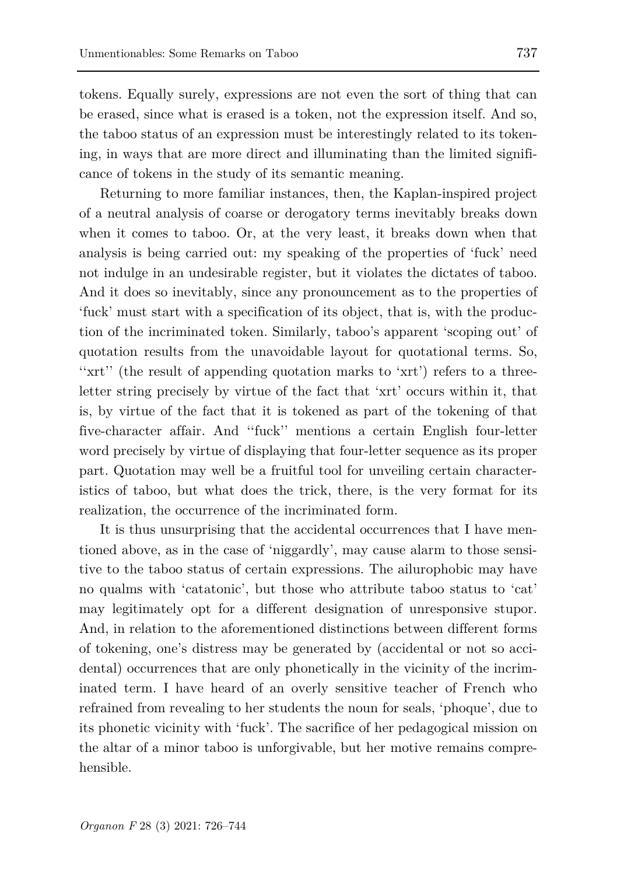tokens. Equally surely, expressions are not even the sort of thing that can be erased, since what is erased is a token, not the expression itself. And so, the taboo status of an expression must be interestingly related to its tokening, in ways that are more direct and illuminating than the limited significance of tokens in the study of its semantic meaning.

Returning to more familiar instances, then, the Kaplan-inspired project of a neutral analysis of coarse or derogatory terms inevitably breaks down when it comes to taboo. Or, at the very least, it breaks down when that analysis is being carried out: my speaking of the properties of 'fuck' need not indulge in an undesirable register, but it violates the dictates of taboo. And it does so inevitably, since any pronouncement as to the properties of 'fuck' must start with a specification of its object, that is, with the production of the incriminated token. Similarly, taboo's apparent 'scoping out' of quotation results from the unavoidable layout for quotational terms. So, ''xrt'' (the result of appending quotation marks to 'xrt') refers to a threeletter string precisely by virtue of the fact that 'xrt' occurs within it, that is, by virtue of the fact that it is tokened as part of the tokening of that five-character affair. And ''fuck'' mentions a certain English four-letter word precisely by virtue of displaying that four-letter sequence as its proper part. Quotation may well be a fruitful tool for unveiling certain characteristics of taboo, but what does the trick, there, is the very format for its realization, the occurrence of the incriminated form.

It is thus unsurprising that the accidental occurrences that I have mentioned above, as in the case of 'niggardly', may cause alarm to those sensitive to the taboo status of certain expressions. The ailurophobic may have no qualms with 'catatonic', but those who attribute taboo status to 'cat' may legitimately opt for a different designation of unresponsive stupor. And, in relation to the aforementioned distinctions between different forms of tokening, one's distress may be generated by (accidental or not so accidental) occurrences that are only phonetically in the vicinity of the incriminated term. I have heard of an overly sensitive teacher of French who refrained from revealing to her students the noun for seals, 'phoque', due to its phonetic vicinity with 'fuck'. The sacrifice of her pedagogical mission on the altar of a minor taboo is unforgivable, but her motive remains comprehensible.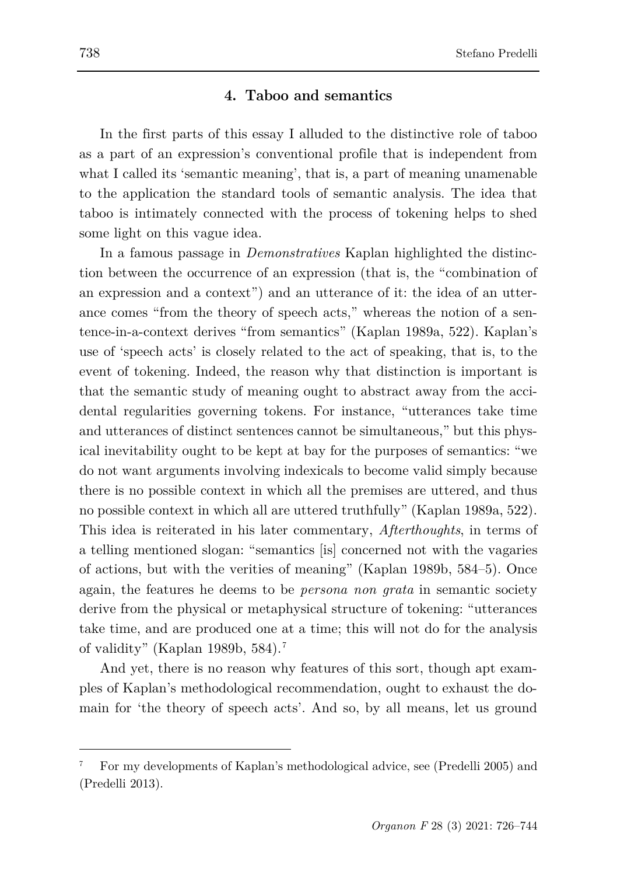## **4. Taboo and semantics**

In the first parts of this essay I alluded to the distinctive role of taboo as a part of an expression's conventional profile that is independent from what I called its 'semantic meaning', that is, a part of meaning unamenable to the application the standard tools of semantic analysis. The idea that taboo is intimately connected with the process of tokening helps to shed some light on this vague idea.

In a famous passage in *Demonstratives* Kaplan highlighted the distinction between the occurrence of an expression (that is, the "combination of an expression and a context") and an utterance of it: the idea of an utterance comes "from the theory of speech acts," whereas the notion of a sentence-in-a-context derives "from semantics" (Kaplan 1989a, 522). Kaplan's use of 'speech acts' is closely related to the act of speaking, that is, to the event of tokening. Indeed, the reason why that distinction is important is that the semantic study of meaning ought to abstract away from the accidental regularities governing tokens. For instance, "utterances take time and utterances of distinct sentences cannot be simultaneous," but this physical inevitability ought to be kept at bay for the purposes of semantics: "we do not want arguments involving indexicals to become valid simply because there is no possible context in which all the premises are uttered, and thus no possible context in which all are uttered truthfully" (Kaplan 1989a, 522). This idea is reiterated in his later commentary, *Afterthoughts*, in terms of a telling mentioned slogan: "semantics [is] concerned not with the vagaries of actions, but with the verities of meaning" (Kaplan 1989b, 584–5). Once again, the features he deems to be *persona non grata* in semantic society derive from the physical or metaphysical structure of tokening: "utterances take time, and are produced one at a time; this will not do for the analysis of validity" (Kaplan 1989b, 584).[7](#page-12-0)

And yet, there is no reason why features of this sort, though apt examples of Kaplan's methodological recommendation, ought to exhaust the domain for 'the theory of speech acts'. And so, by all means, let us ground

<span id="page-12-0"></span><sup>7</sup> For my developments of Kaplan's methodological advice, see (Predelli 2005) and (Predelli 2013).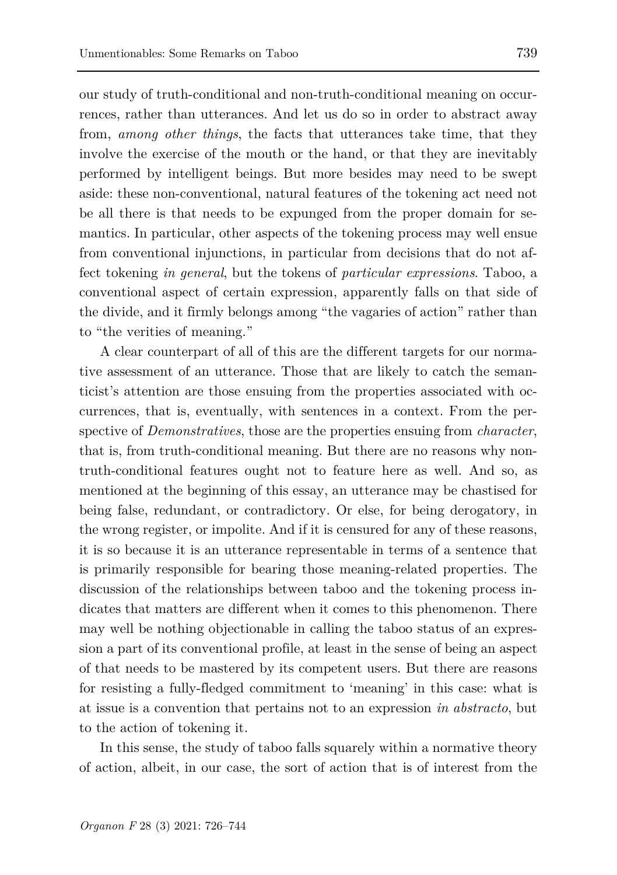our study of truth-conditional and non-truth-conditional meaning on occurrences, rather than utterances. And let us do so in order to abstract away from, *among other things*, the facts that utterances take time, that they involve the exercise of the mouth or the hand, or that they are inevitably performed by intelligent beings. But more besides may need to be swept aside: these non-conventional, natural features of the tokening act need not be all there is that needs to be expunged from the proper domain for semantics. In particular, other aspects of the tokening process may well ensue from conventional injunctions, in particular from decisions that do not affect tokening *in general*, but the tokens of *particular expressions*. Taboo, a conventional aspect of certain expression, apparently falls on that side of the divide, and it firmly belongs among "the vagaries of action" rather than to "the verities of meaning."

A clear counterpart of all of this are the different targets for our normative assessment of an utterance. Those that are likely to catch the semanticist's attention are those ensuing from the properties associated with occurrences, that is, eventually, with sentences in a context. From the perspective of *Demonstratives*, those are the properties ensuing from *character*, that is, from truth-conditional meaning. But there are no reasons why nontruth-conditional features ought not to feature here as well. And so, as mentioned at the beginning of this essay, an utterance may be chastised for being false, redundant, or contradictory. Or else, for being derogatory, in the wrong register, or impolite. And if it is censured for any of these reasons, it is so because it is an utterance representable in terms of a sentence that is primarily responsible for bearing those meaning-related properties. The discussion of the relationships between taboo and the tokening process indicates that matters are different when it comes to this phenomenon. There may well be nothing objectionable in calling the taboo status of an expression a part of its conventional profile, at least in the sense of being an aspect of that needs to be mastered by its competent users. But there are reasons for resisting a fully-fledged commitment to 'meaning' in this case: what is at issue is a convention that pertains not to an expression *in abstracto*, but to the action of tokening it.

In this sense, the study of taboo falls squarely within a normative theory of action, albeit, in our case, the sort of action that is of interest from the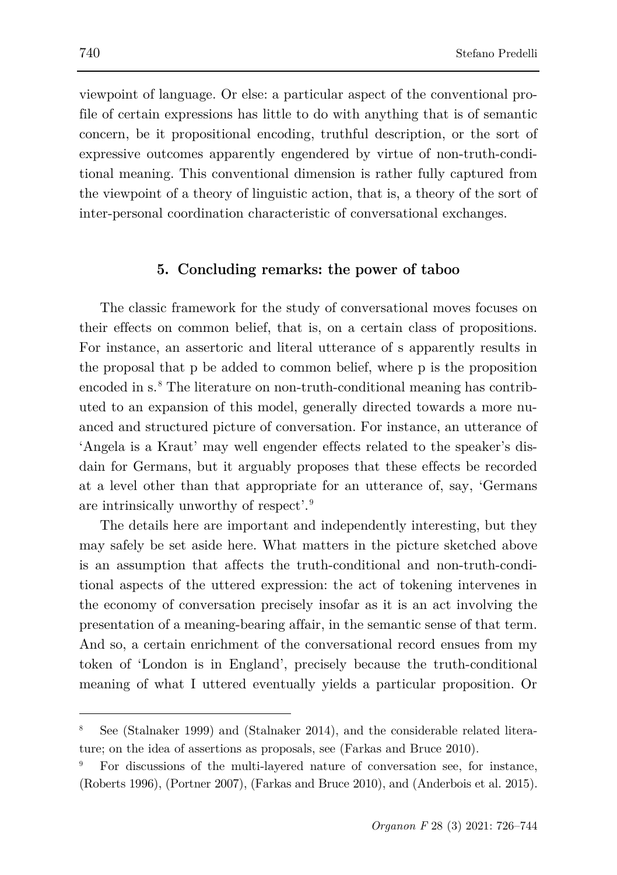viewpoint of language. Or else: a particular aspect of the conventional profile of certain expressions has little to do with anything that is of semantic concern, be it propositional encoding, truthful description, or the sort of expressive outcomes apparently engendered by virtue of non-truth-conditional meaning. This conventional dimension is rather fully captured from the viewpoint of a theory of linguistic action, that is, a theory of the sort of inter-personal coordination characteristic of conversational exchanges.

## **5. Concluding remarks: the power of taboo**

The classic framework for the study of conversational moves focuses on their effects on common belief, that is, on a certain class of propositions. For instance, an assertoric and literal utterance of s apparently results in the proposal that p be added to common belief, where p is the proposition encoded in s. [8](#page-14-0) The literature on non-truth-conditional meaning has contributed to an expansion of this model, generally directed towards a more nuanced and structured picture of conversation. For instance, an utterance of 'Angela is a Kraut' may well engender effects related to the speaker's disdain for Germans, but it arguably proposes that these effects be recorded at a level other than that appropriate for an utterance of, say, 'Germans are intrinsically unworthy of respect'.[9](#page-14-1)

The details here are important and independently interesting, but they may safely be set aside here. What matters in the picture sketched above is an assumption that affects the truth-conditional and non-truth-conditional aspects of the uttered expression: the act of tokening intervenes in the economy of conversation precisely insofar as it is an act involving the presentation of a meaning-bearing affair, in the semantic sense of that term. And so, a certain enrichment of the conversational record ensues from my token of 'London is in England', precisely because the truth-conditional meaning of what I uttered eventually yields a particular proposition. Or

<span id="page-14-0"></span><sup>8</sup> See (Stalnaker 1999) and (Stalnaker 2014), and the considerable related literature; on the idea of assertions as proposals, see (Farkas and Bruce 2010).

<span id="page-14-1"></span><sup>9</sup> For discussions of the multi-layered nature of conversation see, for instance, (Roberts 1996), (Portner 2007), (Farkas and Bruce 2010), and (Anderbois et al. 2015).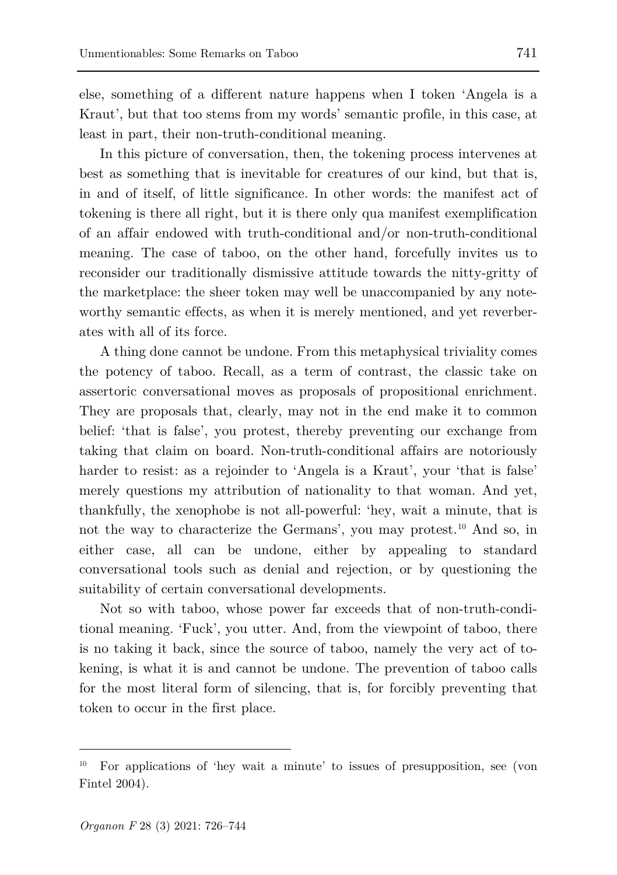else, something of a different nature happens when I token 'Angela is a Kraut', but that too stems from my words' semantic profile, in this case, at least in part, their non-truth-conditional meaning.

In this picture of conversation, then, the tokening process intervenes at best as something that is inevitable for creatures of our kind, but that is, in and of itself, of little significance. In other words: the manifest act of tokening is there all right, but it is there only qua manifest exemplification of an affair endowed with truth-conditional and/or non-truth-conditional meaning. The case of taboo, on the other hand, forcefully invites us to reconsider our traditionally dismissive attitude towards the nitty-gritty of the marketplace: the sheer token may well be unaccompanied by any noteworthy semantic effects, as when it is merely mentioned, and yet reverberates with all of its force.

A thing done cannot be undone. From this metaphysical triviality comes the potency of taboo. Recall, as a term of contrast, the classic take on assertoric conversational moves as proposals of propositional enrichment. They are proposals that, clearly, may not in the end make it to common belief: 'that is false', you protest, thereby preventing our exchange from taking that claim on board. Non-truth-conditional affairs are notoriously harder to resist: as a rejoinder to 'Angela is a Kraut', your 'that is false' merely questions my attribution of nationality to that woman. And yet, thankfully, the xenophobe is not all-powerful: 'hey, wait a minute, that is not the way to characterize the Germans', you may protest.<sup>[10](#page-15-0)</sup> And so, in either case, all can be undone, either by appealing to standard conversational tools such as denial and rejection, or by questioning the suitability of certain conversational developments.

Not so with taboo, whose power far exceeds that of non-truth-conditional meaning. 'Fuck', you utter. And, from the viewpoint of taboo, there is no taking it back, since the source of taboo, namely the very act of tokening, is what it is and cannot be undone. The prevention of taboo calls for the most literal form of silencing, that is, for forcibly preventing that token to occur in the first place.

<span id="page-15-0"></span><sup>10</sup> For applications of 'hey wait a minute' to issues of presupposition, see (von Fintel 2004).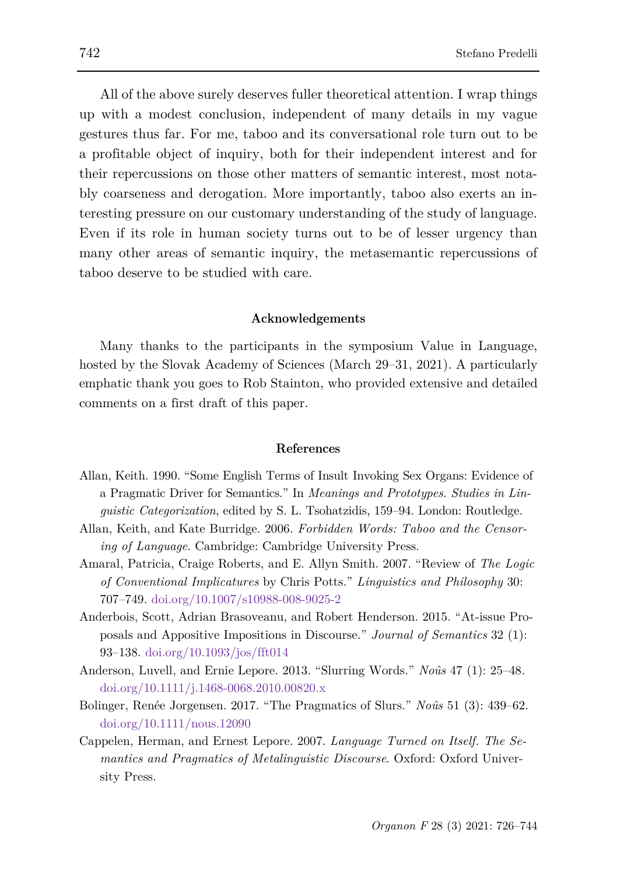All of the above surely deserves fuller theoretical attention. I wrap things up with a modest conclusion, independent of many details in my vague gestures thus far. For me, taboo and its conversational role turn out to be a profitable object of inquiry, both for their independent interest and for their repercussions on those other matters of semantic interest, most notably coarseness and derogation. More importantly, taboo also exerts an interesting pressure on our customary understanding of the study of language. Even if its role in human society turns out to be of lesser urgency than many other areas of semantic inquiry, the metasemantic repercussions of taboo deserve to be studied with care.

#### **Acknowledgements**

Many thanks to the participants in the symposium Value in Language, hosted by the Slovak Academy of Sciences (March 29–31, 2021). A particularly emphatic thank you goes to Rob Stainton, who provided extensive and detailed comments on a first draft of this paper.

#### **References**

- Allan, Keith. 1990. "Some English Terms of Insult Invoking Sex Organs: Evidence of a Pragmatic Driver for Semantics." In *Meanings and Prototypes. Studies in Linguistic Categorization*, edited by S. L. Tsohatzidis, 159–94. London: Routledge.
- Allan, Keith, and Kate Burridge. 2006. *Forbidden Words: Taboo and the Censoring of Language*. Cambridge: Cambridge University Press.
- Amaral, Patricia, Craige Roberts, and E. Allyn Smith. 2007. "Review of *The Logic of Conventional Implicatures* by Chris Potts." *Linguistics and Philosophy* 30: 707–749. doi.org/10.1007/s10988-008-9025-2
- Anderbois, Scott, Adrian Brasoveanu, and Robert Henderson. 2015. "At-issue Proposals and Appositive Impositions in Discourse." *Journal of Semantics* 32 (1): 93–138. doi.org/10.1093/jos/fft014
- Anderson, Luvell, and Ernie Lepore. 2013. "Slurring Words." *Noûs* 47 (1): 25–48. doi.org/10.1111/j.1468-0068.2010.00820.x
- Bolinger, Renée Jorgensen. 2017. "The Pragmatics of Slurs." *Noûs* 51 (3): 439–62. doi.org/10.1111/nous.12090
- Cappelen, Herman, and Ernest Lepore. 2007. *Language Turned on Itself. The Semantics and Pragmatics of Metalinguistic Discourse*. Oxford: Oxford University Press.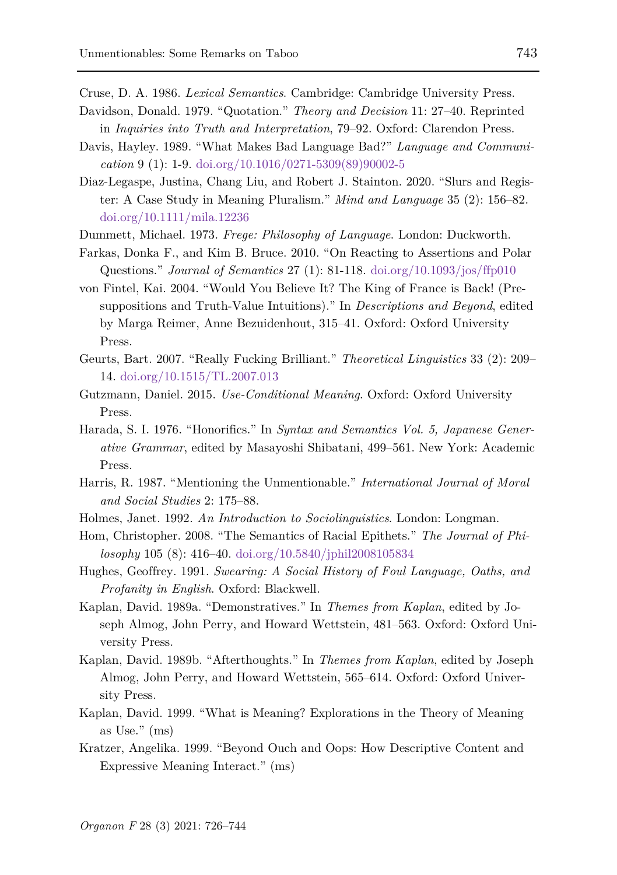Cruse, D. A. 1986. *Lexical Semantics*. Cambridge: Cambridge University Press.

- Davidson, Donald. 1979. "Quotation." *Theory and Decision* 11: 27–40. Reprinted in *Inquiries into Truth and Interpretation*, 79–92. Oxford: Clarendon Press.
- Davis, Hayley. 1989. "What Makes Bad Language Bad?" *Language and Communication* 9 (1): 1-9. doi.org/10.1016/0271-5309(89)90002-5
- Diaz-Legaspe, Justina, Chang Liu, and Robert J. Stainton. 2020. "Slurs and Register: A Case Study in Meaning Pluralism." *Mind and Language* 35 (2): 156–82. doi.org/10.1111/mila.12236
- Dummett, Michael. 1973. *Frege: Philosophy of Language*. London: Duckworth.
- Farkas, Donka F., and Kim B. Bruce. 2010. "On Reacting to Assertions and Polar Questions." *Journal of Semantics* 27 (1): 81-118. doi.org/10.1093/jos/ffp010
- von Fintel, Kai. 2004. "Would You Believe It? The King of France is Back! (Presuppositions and Truth-Value Intuitions)." In *Descriptions and Beyond*, edited by Marga Reimer, Anne Bezuidenhout, 315–41. Oxford: Oxford University Press.
- Geurts, Bart. 2007. "Really Fucking Brilliant." *Theoretical Linguistics* 33 (2): 209– 14. doi.org/10.1515/TL.2007.013
- Gutzmann, Daniel. 2015. *Use-Conditional Meaning*. Oxford: Oxford University Press.
- Harada, S. I. 1976. "Honorifics." In *Syntax and Semantics Vol. 5, Japanese Generative Grammar*, edited by Masayoshi Shibatani, 499–561. New York: Academic Press.
- Harris, R. 1987. "Mentioning the Unmentionable." *International Journal of Moral and Social Studies* 2: 175–88.
- Holmes, Janet. 1992. *An Introduction to Sociolinguistics*. London: Longman.
- Hom, Christopher. 2008. "The Semantics of Racial Epithets." *The Journal of Philosophy* 105 (8): 416–40. doi.org/10.5840/jphil2008105834
- Hughes, Geoffrey. 1991. *Swearing: A Social History of Foul Language, Oaths, and Profanity in English*. Oxford: Blackwell.
- Kaplan, David. 1989a. "Demonstratives." In *Themes from Kaplan*, edited by Joseph Almog, John Perry, and Howard Wettstein, 481–563. Oxford: Oxford University Press.
- Kaplan, David. 1989b. "Afterthoughts." In *Themes from Kaplan*, edited by Joseph Almog, John Perry, and Howard Wettstein, 565–614. Oxford: Oxford University Press.
- Kaplan, David. 1999. "What is Meaning? Explorations in the Theory of Meaning as Use." (ms)
- Kratzer, Angelika. 1999. "Beyond Ouch and Oops: How Descriptive Content and Expressive Meaning Interact." (ms)